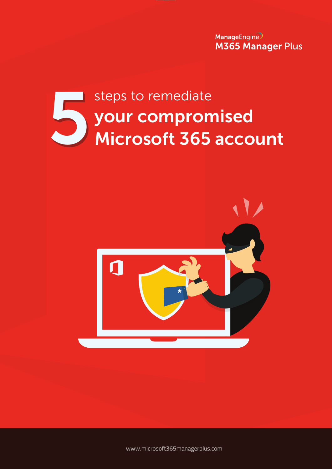ManageEngine **M365 Manager Plus** 

# your compromised Microsoft 365 account steps to remediate<br>
your compron<br>
Microsoft 365



www.microsoft[365managerplus.com](https://www.manageengine.com/microsoft-365-management-reporting/index.html?utm_source=pdf&utm_content=mmp-acct-cmprmse-ebook)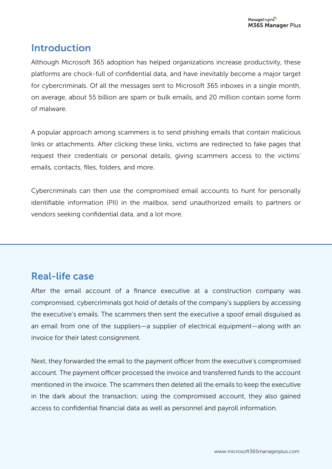# **Introduction**

Although Microsoft 365 adoption has helped organizations increase productivity, these platforms are chock-full of confidential data, and have inevitably become a major target for cybercriminals. Of all the messages sent to Microsoft 365 inboxes in a single month, on average, about 55 billion are spam or bulk emails, and 20 million contain some form of malware.

A popular approach among scammers is to send phishing emails that contain malicious links or attachments. After clicking these links, victims are redirected to fake pages that request their credentials or personal details, giving scammers access to the victims' emails, contacts, files, folders, and more.

Cybercriminals can then use the compromised email accounts to hunt for personally identifiable information (PII) in the mailbox, send unauthorized emails to partners or vendors seeking confidential data, and a lot more.

# Real-life case

After the email account of a finance executive at a construction company was compromised, cybercriminals got hold of details of the company's suppliers by accessing the executive's emails. The scammers then sent the executive a spoof email disguised as an email from one of the suppliers—a supplier of electrical equipment—along with an invoice for their latest consignment.

Next, they forwarded the email to the payment officer from the executive's compromised account. The payment officer processed the invoice and transferred funds to the account mentioned in the invoice. The scammers then deleted all the emails to keep the executive in the dark about the transaction; using the compromised account, they also gained access to confidential financial data as well as personnel and payroll information.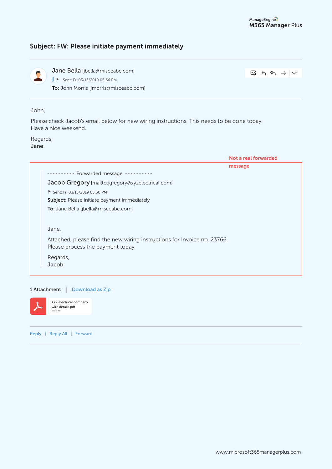# Subject: FW: Please initiate payment immediately



Jane Bella [jbella@misceabc.com] To: John Morris [jmorris@misceabc.com] **J** ► Sent: Fri 03/15/2019 05:56 PM

 $Eq|G \leftrightarrow F \rightarrow F$ 

John,

Please check Jacob's email below for new wiring instructions. This needs to be done today. Have a nice weekend.

Regards, Jane

| Not a real forwarded                                                     |
|--------------------------------------------------------------------------|
| message                                                                  |
|                                                                          |
|                                                                          |
|                                                                          |
|                                                                          |
|                                                                          |
|                                                                          |
|                                                                          |
| Attached, please find the new wiring instructions for Invoice no. 23766. |
|                                                                          |
|                                                                          |
|                                                                          |
|                                                                          |





XYZ electrical company wire details.pdf

Reply | Reply All | Forward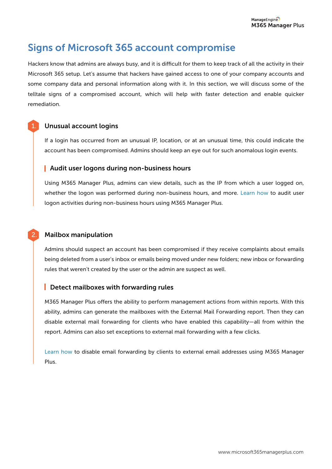# Signs of Microsoft 365 account compromise

Hackers know that admins are always busy, and it is difficult for them to keep track of all the activity in their Microsoft 365 setup. Let's assume that hackers have gained access to one of your company accounts and some company data and personal information along with it. In this section, we will discuss some of the telltale signs of a compromised account, which will help with faster detection and enable quicker remediation.

# Unusual account logins

1.

2.

If a login has occurred from an unusual IP, location, or at an unusual time, this could indicate the account has been compromised. Admins should keep an eye out for such anomalous login events.

# Audit user logons during non-business hours

Using M365 Manager Plus, admins can view details, such as the IP from which a user logged on, whether the logon was performed during non-business hours, and more. [Learn how](https://www.manageengine.com/microsoft-365-management-reporting/kb/audit-non-business-hours-microsoft-365-user-activities.html?utm_source=pdf&utm_content=mmp-acct-cmprmse-ebook) to audit user logon activities during non-business hours using M365 Manager Plus.

# Mailbox manipulation

Admins should suspect an account has been compromised if they receive complaints about emails being deleted from a user's inbox or emails being moved under new folders; new inbox or forwarding rules that weren't created by the user or the admin are suspect as well.

# Detect mailboxes with forwarding rules

M365 Manager Plus offers the ability to perform management actions from within reports. With this ability, admins can generate the mailboxes with the External Mail Forwarding report. Then they can disable external mail forwarding for clients who have enabled this capability—all from within the report. Admins can also set exceptions to external mail forwarding with a few clicks.

[Learn how](https://www.manageengine.com/microsoft-365-management-reporting/kb/disable-email-forwarding-to-external-email-address.html?utm_source=pdf&utm_content=mmp-acct-cmprmse-ebook) to disable email forwarding by clients to external email addresses using M365 Manager Plus.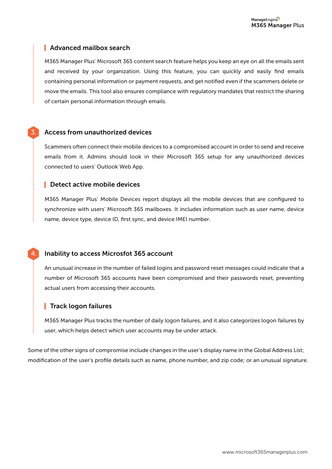# **Advanced mailbox search**

M365 Manager Plus' Microsoft 365 content search feature helps you keep an eye on all the emails sent and received by your organization. Using this feature, you can quickly and easily find emails containing personal information or payment requests, and get notified even if the scammers delete or move the emails. This tool also ensures compliance with regulatory mandates that restrict the sharing of certain personal information through emails.

### Access from unauthorized devices

3.

4.

Scammers often connect their mobile devices to a compromised account in order to send and receive emails from it. Admins should look in their Microsoft 365 setup for any unauthorized devices connected to users' Outlook Web App.

### **Detect active mobile devices**

M365 Manager Plus' Mobile Devices report displays all the mobile devices that are configured to synchronize with users' Microsoft 365 mailboxes. It includes information such as user name, device name, device type, device ID, first sync, and device IMEI number.

### Inability to access Microsfot 365 account

An unusual increase in the number of failed logins and password reset messages could indicate that a number of Microsoft 365 accounts have been compromised and their passwords reset, preventing actual users from accessing their accounts.

# **Track logon failures**

M365 Manager Plus tracks the number of daily logon failures, and it also categorizes logon failures by user, which helps detect which user accounts may be under attack.

Some of the other signs of compromise include changes in the user's display name in the Global Address List; modification of the user's profile details such as name, phone number, and zip code; or an unusual signature.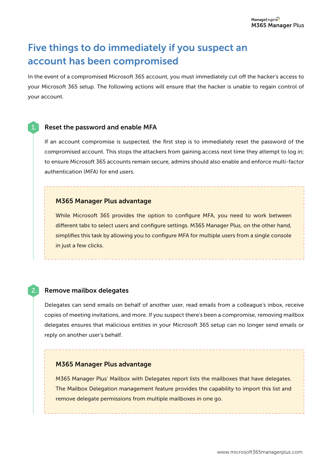# Five things to do immediately if you suspect an account has been compromised

In the event of a compromised Microsoft 365 account, you must immediately cut off the hacker's access to your Microsoft 365 setup. The following actions will ensure that the hacker is unable to regain control of your account.

#### Reset the password and enable MFA

If an account compromise is suspected, the first step is to immediately reset the password of the compromised account. This stops the attackers from gaining access next time they attempt to log in; to ensure Microsoft 365 accounts remain secure, admins should also enable and enforce multi-factor authentication (MFA) for end users.

#### M365 Manager Plus advantage

While Microsoft 365 provides the option to configure MFA, you need to work between different tabs to select users and configure settings. M365 Manager Plus, on the other hand, simplifies this task by allowing you to configure MFA for multiple users from a single console in just a few clicks.

### 2. Remove mailbox delegates

Delegates can send emails on behalf of another user, read emails from a colleague's inbox, receive copies of meeting invitations, and more. If you suspect there's been a compromise, removing mailbox delegates ensures that malicious entities in your Microsoft 365 setup can no longer send emails or reply on another user's behalf.

#### M365 Manager Plus advantage

M365 Manager Plus' Mailbox with Delegates report lists the mailboxes that have delegates. The Mailbox Delegation management feature provides the capability to import this list and remove delegate permissions from multiple mailboxes in one go.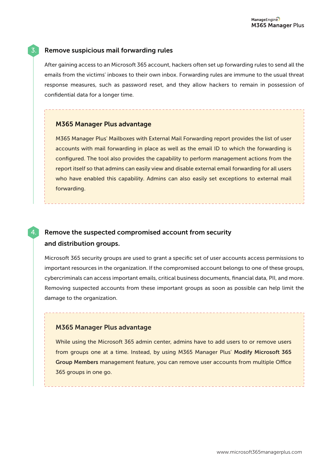# 3. Remove suspicious mail forwarding rules

After gaining access to an Microsoft 365 account, hackers often set up forwarding rules to send all the emails from the victims' inboxes to their own inbox. Forwarding rules are immune to the usual threat response measures, such as password reset, and they allow hackers to remain in possession of confidential data for a longer time.

### M365 Manager Plus advantage

M365 Manager Plus' Mailboxes with External Mail Forwarding report provides the list of user accounts with mail forwarding in place as well as the email ID to which the forwarding is configured. The tool also provides the capability to perform management actions from the report itself so that admins can easily view and disable external email forwarding for all users who have enabled this capability. Admins can also easily set exceptions to external mail forwarding.

# Remove the suspected compromised account from security and distribution groups.

Microsoft 365 security groups are used to grant a specific set of user accounts access permissions to important resources in the organization. If the compromised account belongs to one of these groups, cybercriminals can access important emails, critical business documents, financial data, PII, and more. Removing suspected accounts from these important groups as soon as possible can help limit the damage to the organization.

### M365 Manager Plus advantage

4.

While using the Microsoft 365 admin center, admins have to add users to or remove users from groups one at a time. Instead, by using M365 Manager Plus' Modify Microsoft 365 Group Members management feature, you can remove user accounts from multiple Office 365 groups in one go.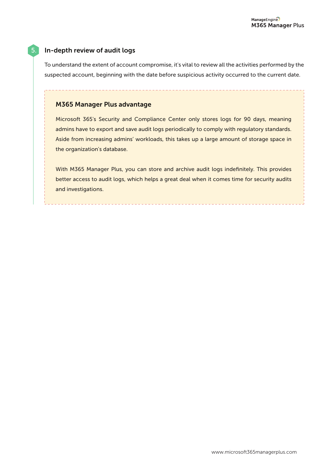# 5. In-depth review of audit logs

To understand the extent of account compromise, it's vital to review all the activities performed by the suspected account, beginning with the date before suspicious activity occurred to the current date.

# M365 Manager Plus advantage

Microsoft 365's Security and Compliance Center only stores logs for 90 days, meaning admins have to export and save audit logs periodically to comply with regulatory standards. Aside from increasing admins' workloads, this takes up a large amount of storage space in the organization's database.

With M365 Manager Plus, you can store and archive audit logs indefinitely. This provides better access to audit logs, which helps a great deal when it comes time for security audits and investigations.